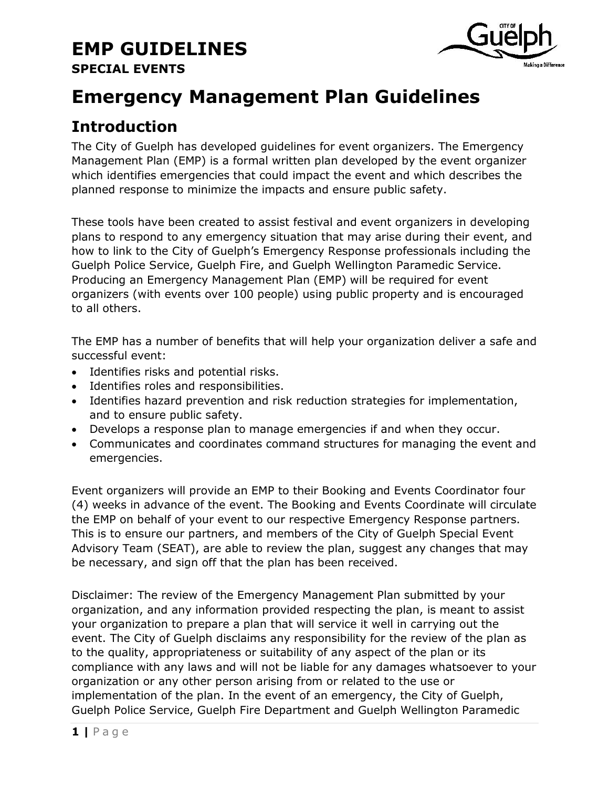

## **Emergency Management Plan Guidelines**

## **Introduction**

The City of Guelph has developed guidelines for event organizers. The Emergency Management Plan (EMP) is a formal written plan developed by the event organizer which identifies emergencies that could impact the event and which describes the planned response to minimize the impacts and ensure public safety.

These tools have been created to assist festival and event organizers in developing plans to respond to any emergency situation that may arise during their event, and how to link to the City of Guelph's Emergency Response professionals including the Guelph Police Service, Guelph Fire, and Guelph Wellington Paramedic Service. Producing an Emergency Management Plan (EMP) will be required for event organizers (with events over 100 people) using public property and is encouraged to all others.

The EMP has a number of benefits that will help your organization deliver a safe and successful event:

- Identifies risks and potential risks.
- Identifies roles and responsibilities.
- Identifies hazard prevention and risk reduction strategies for implementation, and to ensure public safety.
- Develops a response plan to manage emergencies if and when they occur.
- Communicates and coordinates command structures for managing the event and emergencies.

Event organizers will provide an EMP to their Booking and Events Coordinator four (4) weeks in advance of the event. The Booking and Events Coordinate will circulate the EMP on behalf of your event to our respective Emergency Response partners. This is to ensure our partners, and members of the City of Guelph Special Event Advisory Team (SEAT), are able to review the plan, suggest any changes that may be necessary, and sign off that the plan has been received.

Disclaimer: The review of the Emergency Management Plan submitted by your organization, and any information provided respecting the plan, is meant to assist your organization to prepare a plan that will service it well in carrying out the event. The City of Guelph disclaims any responsibility for the review of the plan as to the quality, appropriateness or suitability of any aspect of the plan or its compliance with any laws and will not be liable for any damages whatsoever to your organization or any other person arising from or related to the use or implementation of the plan. In the event of an emergency, the City of Guelph, Guelph Police Service, Guelph Fire Department and Guelph Wellington Paramedic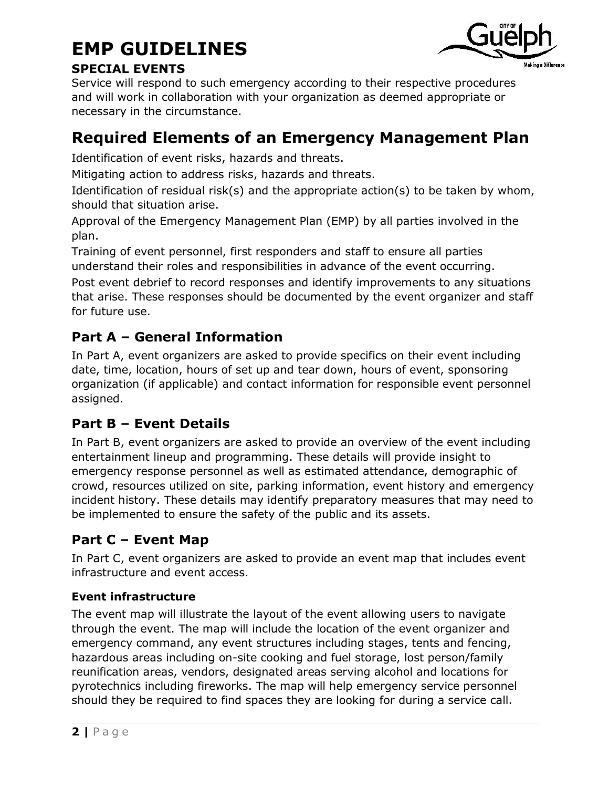

#### **SPECIAL EVENTS**

Service will respond to such emergency according to their respective procedures and will work in collaboration with your organization as deemed appropriate or necessary in the circumstance.

## **Required Elements of an Emergency Management Plan**

Identification of event risks, hazards and threats.

Mitigating action to address risks, hazards and threats.

Identification of residual risk(s) and the appropriate action(s) to be taken by whom, should that situation arise.

Approval of the Emergency Management Plan (EMP) by all parties involved in the plan.

Training of event personnel, first responders and staff to ensure all parties understand their roles and responsibilities in advance of the event occurring.

Post event debrief to record responses and identify improvements to any situations that arise. These responses should be documented by the event organizer and staff for future use.

## **Part A – General Information**

In Part A, event organizers are asked to provide specifics on their event including date, time, location, hours of set up and tear down, hours of event, sponsoring organization (if applicable) and contact information for responsible event personnel assigned.

### **Part B – Event Details**

In Part B, event organizers are asked to provide an overview of the event including entertainment lineup and programming. These details will provide insight to emergency response personnel as well as estimated attendance, demographic of crowd, resources utilized on site, parking information, event history and emergency incident history. These details may identify preparatory measures that may need to be implemented to ensure the safety of the public and its assets.

## **Part C – Event Map**

In Part C, event organizers are asked to provide an event map that includes event infrastructure and event access.

#### **Event infrastructure**

The event map will illustrate the layout of the event allowing users to navigate through the event. The map will include the location of the event organizer and emergency command, any event structures including stages, tents and fencing, hazardous areas including on-site cooking and fuel storage, lost person/family reunification areas, vendors, designated areas serving alcohol and locations for pyrotechnics including fireworks. The map will help emergency service personnel should they be required to find spaces they are looking for during a service call.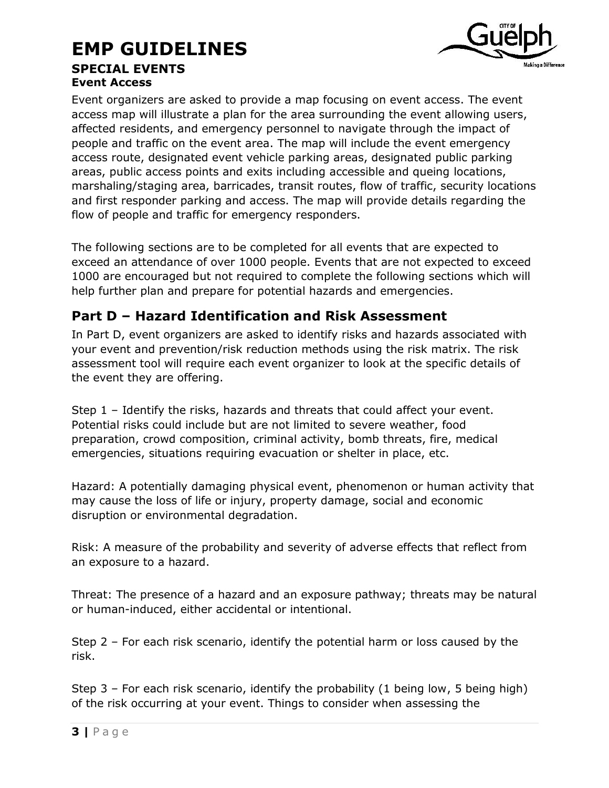### **EMP GUIDELINES SPECIAL EVENTS Event Access**



Event organizers are asked to provide a map focusing on event access. The event access map will illustrate a plan for the area surrounding the event allowing users, affected residents, and emergency personnel to navigate through the impact of people and traffic on the event area. The map will include the event emergency access route, designated event vehicle parking areas, designated public parking areas, public access points and exits including accessible and queing locations, marshaling/staging area, barricades, transit routes, flow of traffic, security locations and first responder parking and access. The map will provide details regarding the flow of people and traffic for emergency responders.

The following sections are to be completed for all events that are expected to exceed an attendance of over 1000 people. Events that are not expected to exceed 1000 are encouraged but not required to complete the following sections which will help further plan and prepare for potential hazards and emergencies.

## **Part D – Hazard Identification and Risk Assessment**

In Part D, event organizers are asked to identify risks and hazards associated with your event and prevention/risk reduction methods using the risk matrix. The risk assessment tool will require each event organizer to look at the specific details of the event they are offering.

Step 1 – Identify the risks, hazards and threats that could affect your event. Potential risks could include but are not limited to severe weather, food preparation, crowd composition, criminal activity, bomb threats, fire, medical emergencies, situations requiring evacuation or shelter in place, etc.

Hazard: A potentially damaging physical event, phenomenon or human activity that may cause the loss of life or injury, property damage, social and economic disruption or environmental degradation.

Risk: A measure of the probability and severity of adverse effects that reflect from an exposure to a hazard.

Threat: The presence of a hazard and an exposure pathway; threats may be natural or human-induced, either accidental or intentional.

Step 2 – For each risk scenario, identify the potential harm or loss caused by the risk.

Step 3 – For each risk scenario, identify the probability (1 being low, 5 being high) of the risk occurring at your event. Things to consider when assessing the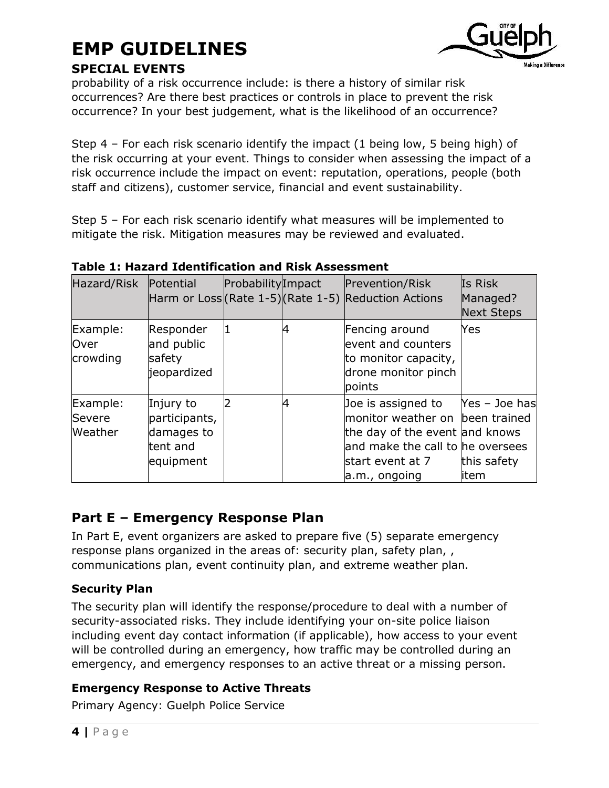

#### **SPECIAL EVENTS**

probability of a risk occurrence include: is there a history of similar risk occurrences? Are there best practices or controls in place to prevent the risk occurrence? In your best judgement, what is the likelihood of an occurrence?

Step 4 – For each risk scenario identify the impact (1 being low, 5 being high) of the risk occurring at your event. Things to consider when assessing the impact of a risk occurrence include the impact on event: reputation, operations, people (both staff and citizens), customer service, financial and event sustainability.

Step 5 – For each risk scenario identify what measures will be implemented to mitigate the risk. Mitigation measures may be reviewed and evaluated.

| Hazard/Risk                   | Potential                                                         | ProbabilityImpact | Prevention/Risk<br>Harm or Loss (Rate 1-5) (Rate 1-5) Reduction Actions                                                                                          | Is Risk<br>Managed?<br><b>Next Steps</b> |
|-------------------------------|-------------------------------------------------------------------|-------------------|------------------------------------------------------------------------------------------------------------------------------------------------------------------|------------------------------------------|
| Example:<br>Over<br>crowding  | Responder<br>and public<br>safety<br>jeopardized                  |                   | Fencing around<br>event and counters<br>to monitor capacity,<br>drone monitor pinch<br>points                                                                    | Yes                                      |
| Example:<br>Severe<br>Weather | Injury to<br>participants,<br>damages to<br>tent and<br>equipment |                   | Joe is assigned to<br>monitor weather on been trained<br>the day of the event and knows<br>and make the call to he oversees<br>start event at 7<br>a.m., ongoing | Yes - Joe has<br>this safety<br>litem    |

#### **Table 1: Hazard Identification and Risk Assessment**

#### **Part E – Emergency Response Plan**

In Part E, event organizers are asked to prepare five (5) separate emergency response plans organized in the areas of: security plan, safety plan, communications plan, event continuity plan, and extreme weather plan.

#### **Security Plan**

The security plan will identify the response/procedure to deal with a number of security-associated risks. They include identifying your on-site police liaison including event day contact information (if applicable), how access to your event will be controlled during an emergency, how traffic may be controlled during an emergency, and emergency responses to an active threat or a missing person.

#### **Emergency Response to Active Threats**

Primary Agency: Guelph Police Service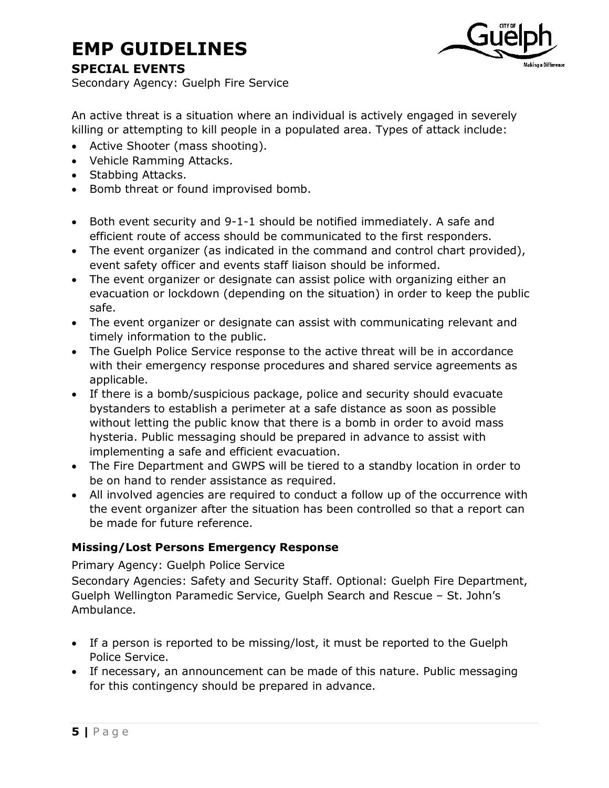

#### **SPECIAL EVENTS**

Secondary Agency: Guelph Fire Service

An active threat is a situation where an individual is actively engaged in severely killing or attempting to kill people in a populated area. Types of attack include:

- Active Shooter (mass shooting).
- Vehicle Ramming Attacks.
- Stabbing Attacks.
- Bomb threat or found improvised bomb.
- Both event security and 9-1-1 should be notified immediately. A safe and efficient route of access should be communicated to the first responders.
- The event organizer (as indicated in the command and control chart provided), event safety officer and events staff liaison should be informed.
- The event organizer or designate can assist police with organizing either an evacuation or lockdown (depending on the situation) in order to keep the public safe.
- The event organizer or designate can assist with communicating relevant and timely information to the public.
- The Guelph Police Service response to the active threat will be in accordance with their emergency response procedures and shared service agreements as applicable.
- If there is a bomb/suspicious package, police and security should evacuate bystanders to establish a perimeter at a safe distance as soon as possible without letting the public know that there is a bomb in order to avoid mass hysteria. Public messaging should be prepared in advance to assist with implementing a safe and efficient evacuation.
- The Fire Department and GWPS will be tiered to a standby location in order to be on hand to render assistance as required.
- All involved agencies are required to conduct a follow up of the occurrence with the event organizer after the situation has been controlled so that a report can be made for future reference.

#### **Missing/Lost Persons Emergency Response**

Primary Agency: Guelph Police Service

Secondary Agencies: Safety and Security Staff. Optional: Guelph Fire Department, Guelph Wellington Paramedic Service, Guelph Search and Rescue – St. John's Ambulance.

- If a person is reported to be missing/lost, it must be reported to the Guelph Police Service.
- If necessary, an announcement can be made of this nature. Public messaging for this contingency should be prepared in advance.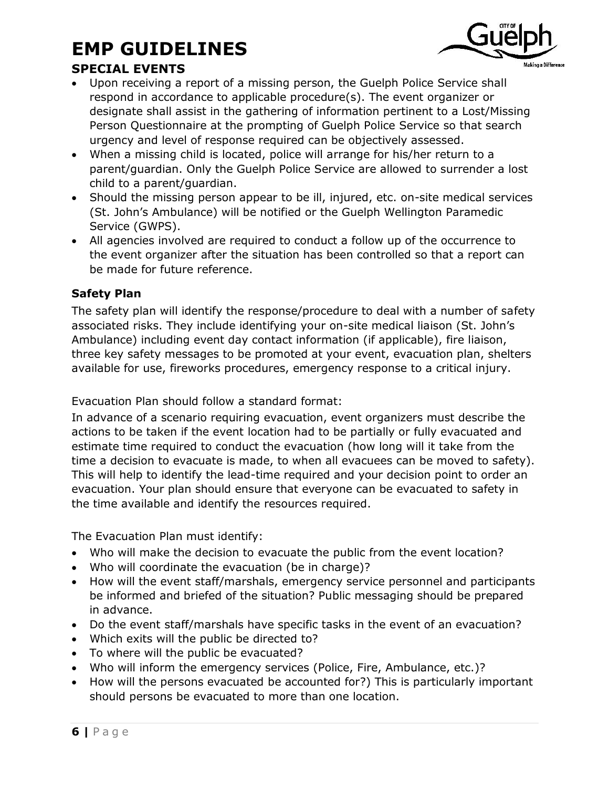

### **SPECIAL EVENTS**

- Upon receiving a report of a missing person, the Guelph Police Service shall respond in accordance to applicable procedure(s). The event organizer or designate shall assist in the gathering of information pertinent to a Lost/Missing Person Questionnaire at the prompting of Guelph Police Service so that search urgency and level of response required can be objectively assessed.
- When a missing child is located, police will arrange for his/her return to a parent/guardian. Only the Guelph Police Service are allowed to surrender a lost child to a parent/guardian.
- Should the missing person appear to be ill, injured, etc. on-site medical services (St. John's Ambulance) will be notified or the Guelph Wellington Paramedic Service (GWPS).
- All agencies involved are required to conduct a follow up of the occurrence to the event organizer after the situation has been controlled so that a report can be made for future reference.

#### **Safety Plan**

The safety plan will identify the response/procedure to deal with a number of safety associated risks. They include identifying your on-site medical liaison (St. John's Ambulance) including event day contact information (if applicable), fire liaison, three key safety messages to be promoted at your event, evacuation plan, shelters available for use, fireworks procedures, emergency response to a critical injury.

Evacuation Plan should follow a standard format:

In advance of a scenario requiring evacuation, event organizers must describe the actions to be taken if the event location had to be partially or fully evacuated and estimate time required to conduct the evacuation (how long will it take from the time a decision to evacuate is made, to when all evacuees can be moved to safety). This will help to identify the lead-time required and your decision point to order an evacuation. Your plan should ensure that everyone can be evacuated to safety in the time available and identify the resources required.

The Evacuation Plan must identify:

- Who will make the decision to evacuate the public from the event location?
- Who will coordinate the evacuation (be in charge)?
- How will the event staff/marshals, emergency service personnel and participants be informed and briefed of the situation? Public messaging should be prepared in advance.
- Do the event staff/marshals have specific tasks in the event of an evacuation?
- Which exits will the public be directed to?
- To where will the public be evacuated?
- Who will inform the emergency services (Police, Fire, Ambulance, etc.)?
- How will the persons evacuated be accounted for?) This is particularly important should persons be evacuated to more than one location.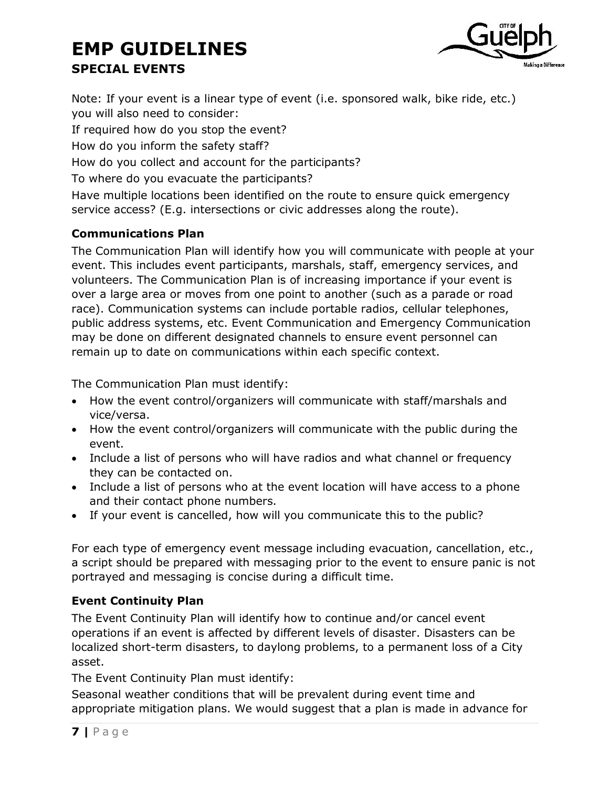## **EMP GUIDELINES SPECIAL EVENTS**



Note: If your event is a linear type of event (i.e. sponsored walk, bike ride, etc.) you will also need to consider:

If required how do you stop the event?

How do you inform the safety staff?

How do you collect and account for the participants?

To where do you evacuate the participants?

Have multiple locations been identified on the route to ensure quick emergency service access? (E.g. intersections or civic addresses along the route).

#### **Communications Plan**

The Communication Plan will identify how you will communicate with people at your event. This includes event participants, marshals, staff, emergency services, and volunteers. The Communication Plan is of increasing importance if your event is over a large area or moves from one point to another (such as a parade or road race). Communication systems can include portable radios, cellular telephones, public address systems, etc. Event Communication and Emergency Communication may be done on different designated channels to ensure event personnel can remain up to date on communications within each specific context.

The Communication Plan must identify:

- How the event control/organizers will communicate with staff/marshals and vice/versa.
- How the event control/organizers will communicate with the public during the event.
- Include a list of persons who will have radios and what channel or frequency they can be contacted on.
- Include a list of persons who at the event location will have access to a phone and their contact phone numbers.
- If your event is cancelled, how will you communicate this to the public?

For each type of emergency event message including evacuation, cancellation, etc., a script should be prepared with messaging prior to the event to ensure panic is not portrayed and messaging is concise during a difficult time.

#### **Event Continuity Plan**

The Event Continuity Plan will identify how to continue and/or cancel event operations if an event is affected by different levels of disaster. Disasters can be localized short-term disasters, to daylong problems, to a permanent loss of a City asset.

The Event Continuity Plan must identify:

Seasonal weather conditions that will be prevalent during event time and appropriate mitigation plans. We would suggest that a plan is made in advance for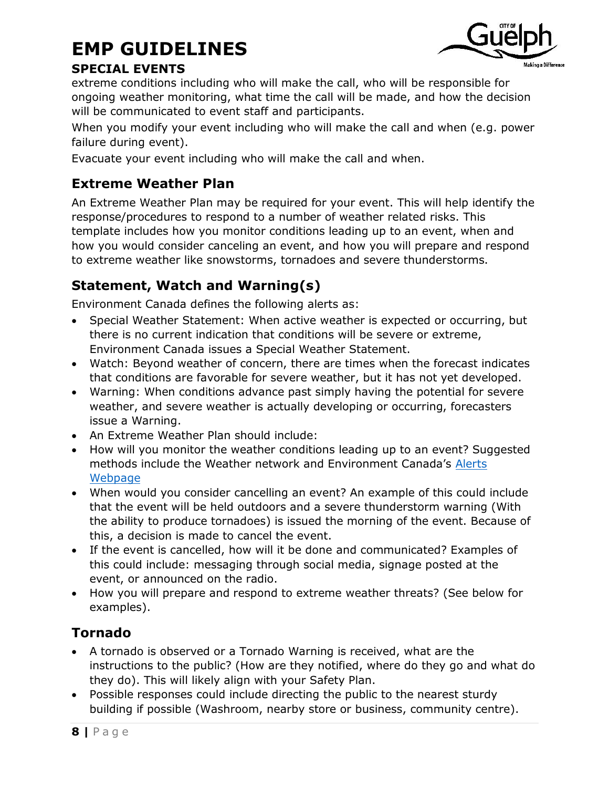

#### **SPECIAL EVENTS**

extreme conditions including who will make the call, who will be responsible for ongoing weather monitoring, what time the call will be made, and how the decision will be communicated to event staff and participants.

When you modify your event including who will make the call and when (e.g. power failure during event).

Evacuate your event including who will make the call and when.

### **Extreme Weather Plan**

An Extreme Weather Plan may be required for your event. This will help identify the response/procedures to respond to a number of weather related risks. This template includes how you monitor conditions leading up to an event, when and how you would consider canceling an event, and how you will prepare and respond to extreme weather like snowstorms, tornadoes and severe thunderstorms.

## **Statement, Watch and Warning(s)**

Environment Canada defines the following alerts as:

- Special Weather Statement: When active weather is expected or occurring, but there is no current indication that conditions will be severe or extreme, Environment Canada issues a Special Weather Statement.
- Watch: Beyond weather of concern, there are times when the forecast indicates that conditions are favorable for severe weather, but it has not yet developed.
- Warning: When conditions advance past simply having the potential for severe weather, and severe weather is actually developing or occurring, forecasters issue a Warning.
- An Extreme Weather Plan should include:
- How will you monitor the weather conditions leading up to an event? Suggested methods include the Weather network and Environment Canada's [Alerts](https://weather.gc.ca/warnings/index_e.html?prov=son)  [Webpage](https://weather.gc.ca/warnings/index_e.html?prov=son)
- When would you consider cancelling an event? An example of this could include that the event will be held outdoors and a severe thunderstorm warning (With the ability to produce tornadoes) is issued the morning of the event. Because of this, a decision is made to cancel the event.
- If the event is cancelled, how will it be done and communicated? Examples of this could include: messaging through social media, signage posted at the event, or announced on the radio.
- How you will prepare and respond to extreme weather threats? (See below for examples).

### **Tornado**

- A tornado is observed or a Tornado Warning is received, what are the instructions to the public? (How are they notified, where do they go and what do they do). This will likely align with your Safety Plan.
- Possible responses could include directing the public to the nearest sturdy building if possible (Washroom, nearby store or business, community centre).